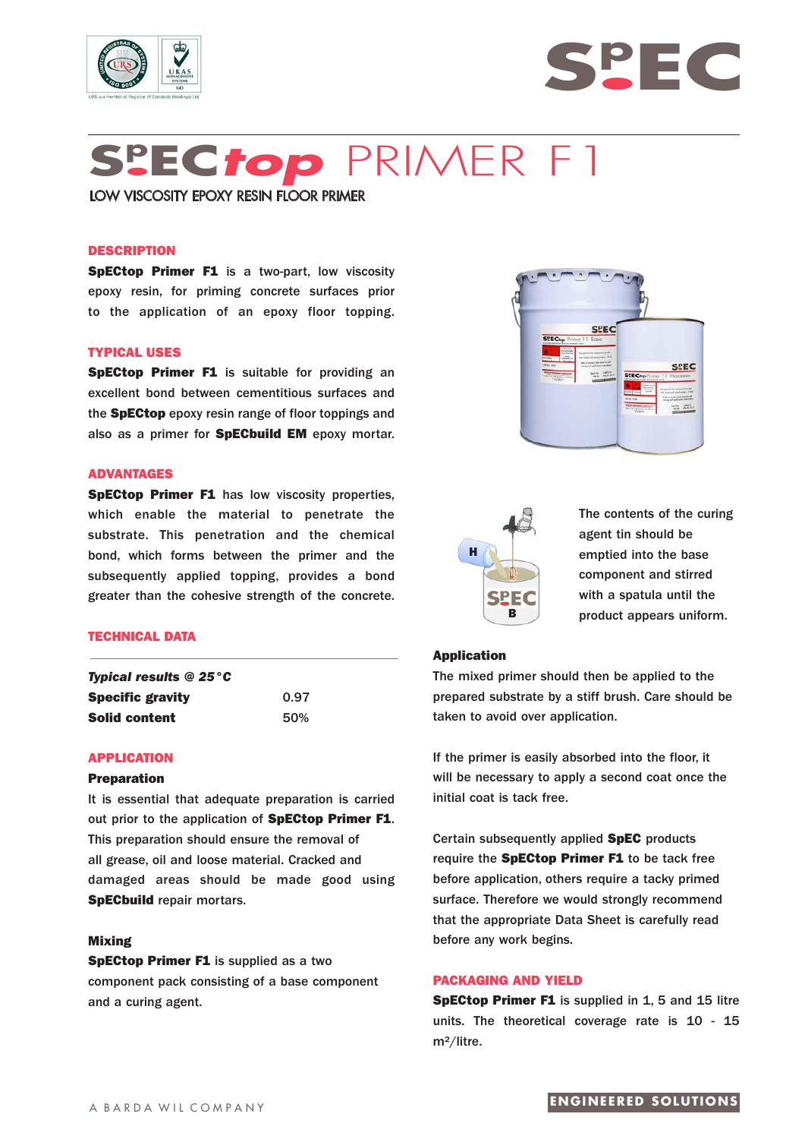



# **Sp EC***top* PRIMER F1

LOW VISCOSITY EPOXY RESIN FLOOR PRIMER

# **DESCRIPTION**

**SpECtop Primer F1** is a two-part, low viscosity epoxy resin, for priming concrete surfaces prior to the application of an epoxy floor topping.

# **TYPICAL USES**

**SpECtop Primer F1** is suitable for providing an excellent bond between cementitious surfaces and the **SpECtop** epoxy resin range of floor toppings and also as a primer for **SpECbuild EM** epoxy mortar.

## **ADVANTAGES**

**SpECtop Primer F1** has low viscosity properties, which enable the material to penetrate the substrate. This penetration and the chemical bond, which forms between the primer and the subsequently applied topping, provides a bond greater than the cohesive strength of the concrete.

# **TECHNICAL DATA**

| <b>Typical results @ 25 °C</b> |      |
|--------------------------------|------|
| <b>Specific gravity</b>        | 0.97 |
| <b>Solid content</b>           | 50%  |

## **APPLICATION**

# **Preparation**

It is essential that adequate preparation is carried out prior to the application of **SpECtop Primer F1**. This preparation should ensure the removal of all grease, oil and loose material. Cracked and damaged areas should be made good using **SpECbuild** repair mortars.

# **Mixing**

**SpECtop Primer F1** is supplied as a two component pack consisting of a base component and a curing agent.





The contents of the curing agent tin should be emptied into the base component and stirred with a spatula until the product appears uniform.

# **Application**

The mixed primer should then be applied to the prepared substrate by a stiff brush. Care should be taken to avoid over application.

If the primer is easily absorbed into the floor, it will be necessary to apply a second coat once the initial coat is tack free.

Certain subsequently applied **SpEC** products require the **SpECtop Primer F1** to be tack free before application, others require a tacky primed surface. Therefore we would strongly recommend that the appropriate Data Sheet is carefully read before any work begins.

# **PACKAGING AND YIELD**

**SpECtop Primer F1** is supplied in 1, 5 and 15 litre units. The theoretical coverage rate is 10 - 15 m²/litre.

# **ENGINEERED SOLUTIONS**